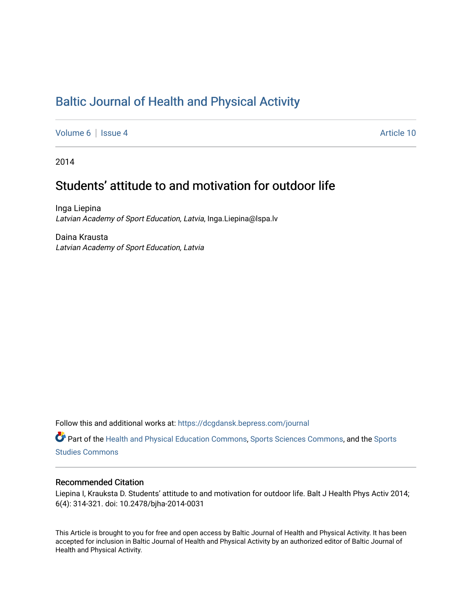# [Baltic Journal of Health and Physical Activity](https://dcgdansk.bepress.com/journal)

[Volume 6](https://dcgdansk.bepress.com/journal/vol6) | [Issue 4](https://dcgdansk.bepress.com/journal/vol6/iss4) Article 10

2014

# Students' attitude to and motivation for outdoor life

Inga Liepina Latvian Academy of Sport Education, Latvia, Inga.Liepina@lspa.lv

Daina Krausta Latvian Academy of Sport Education, Latvia

Follow this and additional works at: [https://dcgdansk.bepress.com/journal](https://dcgdansk.bepress.com/journal?utm_source=dcgdansk.bepress.com%2Fjournal%2Fvol6%2Fiss4%2F10&utm_medium=PDF&utm_campaign=PDFCoverPages)

Part of the [Health and Physical Education Commons](http://network.bepress.com/hgg/discipline/1327?utm_source=dcgdansk.bepress.com%2Fjournal%2Fvol6%2Fiss4%2F10&utm_medium=PDF&utm_campaign=PDFCoverPages), [Sports Sciences Commons](http://network.bepress.com/hgg/discipline/759?utm_source=dcgdansk.bepress.com%2Fjournal%2Fvol6%2Fiss4%2F10&utm_medium=PDF&utm_campaign=PDFCoverPages), and the [Sports](http://network.bepress.com/hgg/discipline/1198?utm_source=dcgdansk.bepress.com%2Fjournal%2Fvol6%2Fiss4%2F10&utm_medium=PDF&utm_campaign=PDFCoverPages)  [Studies Commons](http://network.bepress.com/hgg/discipline/1198?utm_source=dcgdansk.bepress.com%2Fjournal%2Fvol6%2Fiss4%2F10&utm_medium=PDF&utm_campaign=PDFCoverPages) 

#### Recommended Citation

Liepina I, Krauksta D. Students' attitude to and motivation for outdoor life. Balt J Health Phys Activ 2014; 6(4): 314-321. doi: 10.2478/bjha-2014-0031

This Article is brought to you for free and open access by Baltic Journal of Health and Physical Activity. It has been accepted for inclusion in Baltic Journal of Health and Physical Activity by an authorized editor of Baltic Journal of Health and Physical Activity.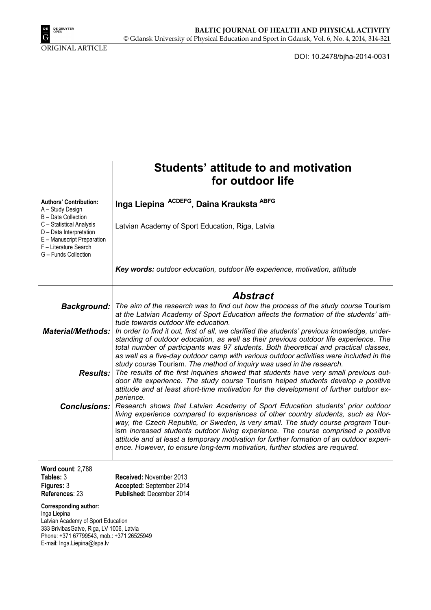

ORIGINAL ARTICLE

DOI: 10.2478/bjha-2014-0031

|                                                                                                                                                                                                             | Students' attitude to and motivation<br>for outdoor life                                                                                                                                                                                                                                                                                                                                                                                                                                                                                                   |  |  |  |  |
|-------------------------------------------------------------------------------------------------------------------------------------------------------------------------------------------------------------|------------------------------------------------------------------------------------------------------------------------------------------------------------------------------------------------------------------------------------------------------------------------------------------------------------------------------------------------------------------------------------------------------------------------------------------------------------------------------------------------------------------------------------------------------------|--|--|--|--|
| <b>Authors' Contribution:</b><br>A - Study Design                                                                                                                                                           | Inga Liepina ACDEFG, Daina Krauksta ABFG                                                                                                                                                                                                                                                                                                                                                                                                                                                                                                                   |  |  |  |  |
| B - Data Collection<br>C - Statistical Analysis<br>D - Data Interpretation<br>E - Manuscript Preparation<br>F - Literature Search<br>G - Funds Collection                                                   | Latvian Academy of Sport Education, Riga, Latvia                                                                                                                                                                                                                                                                                                                                                                                                                                                                                                           |  |  |  |  |
|                                                                                                                                                                                                             | Key words: outdoor education, outdoor life experience, motivation, attitude                                                                                                                                                                                                                                                                                                                                                                                                                                                                                |  |  |  |  |
| Abstract                                                                                                                                                                                                    |                                                                                                                                                                                                                                                                                                                                                                                                                                                                                                                                                            |  |  |  |  |
|                                                                                                                                                                                                             | Background:   The aim of the research was to find out how the process of the study course Tourism<br>at the Latvian Academy of Sport Education affects the formation of the students' atti-                                                                                                                                                                                                                                                                                                                                                                |  |  |  |  |
|                                                                                                                                                                                                             | tude towards outdoor life education.<br><b>Material/Methods:</b>   In order to find it out, first of all, we clarified the students' previous knowledge, under-<br>standing of outdoor education, as well as their previous outdoor life experience. The<br>total number of participants was 97 students. Both theoretical and practical classes,                                                                                                                                                                                                          |  |  |  |  |
|                                                                                                                                                                                                             | as well as a five-day outdoor camp with various outdoor activities were included in the<br>study course Tourism. The method of inquiry was used in the research.<br><b>Results:</b> The results of the first inquiries showed that students have very small previous out-<br>door life experience. The study course Tourism helped students develop a positive<br>attitude and at least short-time motivation for the development of further outdoor ex-                                                                                                   |  |  |  |  |
|                                                                                                                                                                                                             | perience.<br><b>Conclusions:</b> Research shows that Latvian Academy of Sport Education students' prior outdoor<br>living experience compared to experiences of other country students, such as Nor-<br>way, the Czech Republic, or Sweden, is very small. The study course program Tour-<br>ism increased students outdoor living experience. The course comprised a positive<br>attitude and at least a temporary motivation for further formation of an outdoor experi-<br>ence. However, to ensure long-term motivation, further studies are required. |  |  |  |  |
| Word count: 2,788<br>Tables: 3<br>Figures: 3<br>References: 23                                                                                                                                              | Received: November 2013<br>Accepted: September 2014<br>Published: December 2014                                                                                                                                                                                                                                                                                                                                                                                                                                                                            |  |  |  |  |
| <b>Corresponding author:</b><br>Inga Liepina<br>Latvian Academy of Sport Education<br>333 BrivibasGatve, Riga, LV 1006, Latvia<br>Phone: +371 67799543, mob.: +371 26525949<br>E-mail: Inga.Liepina@Ispa.lv |                                                                                                                                                                                                                                                                                                                                                                                                                                                                                                                                                            |  |  |  |  |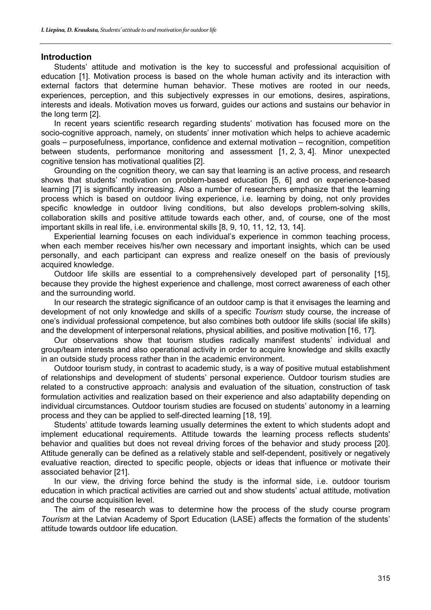### **Introduction**

Students' attitude and motivation is the key to successful and professional acquisition of education [1]. Motivation process is based on the whole human activity and its interaction with external factors that determine human behavior. These motives are rooted in our needs, experiences, perception, and this subjectively expresses in our emotions, desires, aspirations, interests and ideals. Motivation moves us forward, guides our actions and sustains our behavior in the long term [2].

In recent years scientific research regarding students' motivation has focused more on the socio-cognitive approach, namely, on students' inner motivation which helps to achieve academic goals – purposefulness, importance, confidence and external motivation – recognition, competition between students, performance monitoring and assessment [1, 2, 3, 4]. Minor unexpected cognitive tension has motivational qualities [2].

Grounding on the cognition theory, we can say that learning is an active process, and research shows that students' motivation on problem-based education [5, 6] and on experience-based learning [7] is significantly increasing. Also a number of researchers emphasize that the learning process which is based on outdoor living experience, i.e. learning by doing, not only provides specific knowledge in outdoor living conditions, but also develops problem-solving skills, collaboration skills and positive attitude towards each other, and, of course, one of the most important skills in real life, i.e. environmental skills [8, 9, 10, 11, 12, 13, 14].

Experiential learning focuses on each individual's experience in common teaching process, when each member receives his/her own necessary and important insights, which can be used personally, and each participant can express and realize oneself on the basis of previously acquired knowledge.

Outdoor life skills are essential to a comprehensively developed part of personality [15], because they provide the highest experience and challenge, most correct awareness of each other and the surrounding world.

In our research the strategic significance of an outdoor camp is that it envisages the learning and development of not only knowledge and skills of a specific *Tourism* study course, the increase of one's individual professional competence, but also combines both outdoor life skills (social life skills) and the development of interpersonal relations, physical abilities, and positive motivation [16, 17].

Our observations show that tourism studies radically manifest students' individual and group/team interests and also operational activity in order to acquire knowledge and skills exactly in an outside study process rather than in the academic environment.

Outdoor tourism study, in contrast to academic study, is a way of positive mutual establishment of relationships and development of students' personal experience. Outdoor tourism studies are related to a constructive approach: analysis and evaluation of the situation, construction of task formulation activities and realization based on their experience and also adaptability depending on individual circumstances. Outdoor tourism studies are focused on students' autonomy in a learning process and they can be applied to self-directed learning [18, 19].

Students' attitude towards learning usually determines the extent to which students adopt and implement educational requirements. Attitude towards the learning process reflects students' behavior and qualities but does not reveal driving forces of the behavior and study process [20]. Attitude generally can be defined as a relatively stable and self-dependent, positively or negatively evaluative reaction, directed to specific people, objects or ideas that influence or motivate their associated behavior [21].

In our view, the driving force behind the study is the informal side, i.e. outdoor tourism education in which practical activities are carried out and show students' actual attitude, motivation and the course acquisition level.

The aim of the research was to determine how the process of the study course program *Tourism* at the Latvian Academy of Sport Education (LASE) affects the formation of the students' attitude towards outdoor life education.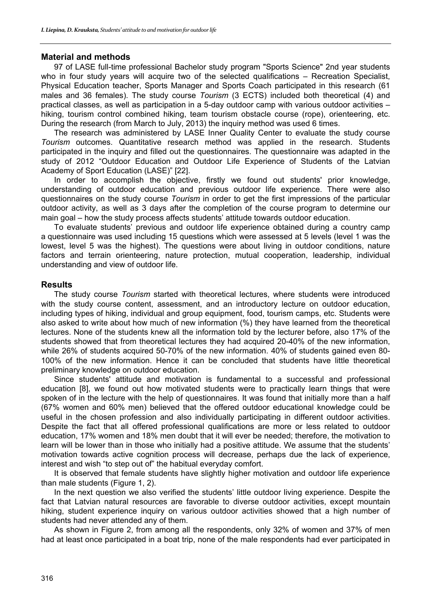# **Material and methods**

97 of LASE full-time professional Bachelor study program "Sports Science" 2nd year students who in four study years will acquire two of the selected qualifications – Recreation Specialist, Physical Education teacher, Sports Manager and Sports Coach participated in this research (61 males and 36 females). The study course *Tourism* (3 ECTS) included both theoretical (4) and practical classes, as well as participation in a 5-day outdoor camp with various outdoor activities – hiking, tourism control combined hiking, team tourism obstacle course (rope), orienteering, etc. During the research (from March to July, 2013) the inquiry method was used 6 times.

The research was administered by LASE Inner Quality Center to evaluate the study course *Tourism* outcomes. Quantitative research method was applied in the research. Students participated in the inquiry and filled out the questionnaires. The questionnaire was adapted in the study of 2012 "Outdoor Education and Outdoor Life Experience of Students of the Latvian Academy of Sport Education (LASE)" [22].

In order to accomplish the objective, firstly we found out students' prior knowledge, understanding of outdoor education and previous outdoor life experience. There were also questionnaires on the study course *Tourism* in order to get the first impressions of the particular outdoor activity, as well as 3 days after the completion of the course program to determine our main goal – how the study process affects students' attitude towards outdoor education.

To evaluate students' previous and outdoor life experience obtained during a country camp a questionnaire was used including 15 questions which were assessed at 5 levels (level 1 was the lowest, level 5 was the highest). The questions were about living in outdoor conditions, nature factors and terrain orienteering, nature protection, mutual cooperation, leadership, individual understanding and view of outdoor life.

# **Results**

The study course *Tourism* started with theoretical lectures, where students were introduced with the study course content, assessment, and an introductory lecture on outdoor education, including types of hiking, individual and group equipment, food, tourism camps, etc. Students were also asked to write about how much of new information (%) they have learned from the theoretical lectures. None of the students knew all the information told by the lecturer before, also 17% of the students showed that from theoretical lectures they had acquired 20-40% of the new information, while 26% of students acquired 50-70% of the new information. 40% of students gained even 80- 100% of the new information. Hence it can be concluded that students have little theoretical preliminary knowledge on outdoor education.

Since students' attitude and motivation is fundamental to a successful and professional education [8], we found out how motivated students were to practically learn things that were spoken of in the lecture with the help of questionnaires. It was found that initially more than a half (67% women and 60% men) believed that the offered outdoor educational knowledge could be useful in the chosen profession and also individually participating in different outdoor activities. Despite the fact that all offered professional qualifications are more or less related to outdoor education, 17% women and 18% men doubt that it will ever be needed; therefore, the motivation to learn will be lower than in those who initially had a positive attitude. We assume that the students' motivation towards active cognition process will decrease, perhaps due the lack of experience, interest and wish "to step out of" the habitual everyday comfort.

It is observed that female students have slightly higher motivation and outdoor life experience than male students (Figure 1, 2).

In the next question we also verified the students' little outdoor living experience. Despite the fact that Latvian natural resources are favorable to diverse outdoor activities, except mountain hiking, student experience inquiry on various outdoor activities showed that a high number of students had never attended any of them.

As shown in Figure 2, from among all the respondents, only 32% of women and 37% of men had at least once participated in a boat trip, none of the male respondents had ever participated in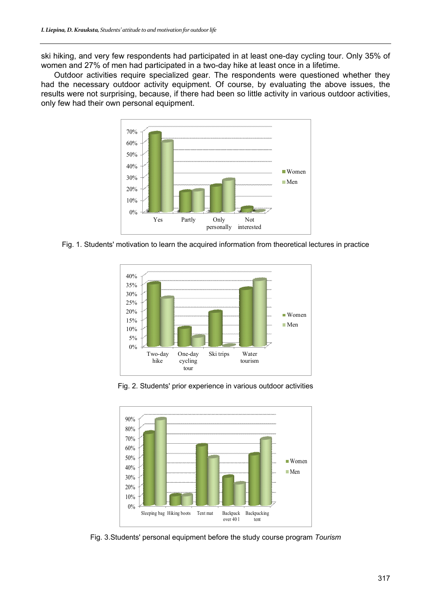ski hiking, and very few respondents had participated in at least one-day cycling tour. Only 35% of women and 27% of men had participated in a two-day hike at least once in a lifetime.

Outdoor activities require specialized gear. The respondents were questioned whether they had the necessary outdoor activity equipment. Of course, by evaluating the above issues, the results were not surprising, because, if there had been so little activity in various outdoor activities, only few had their own personal equipment.



Fig. 1. Students' motivation to learn the acquired information from theoretical lectures in practice



Fig. 2. Students' prior experience in various outdoor activities



Fig. 3.Students' personal equipment before the study course program *Tourism*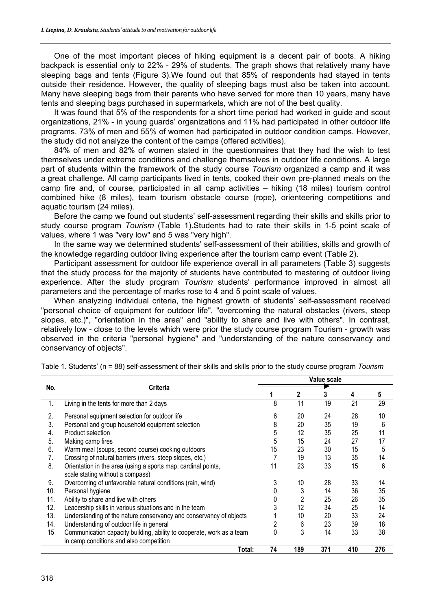One of the most important pieces of hiking equipment is a decent pair of boots. A hiking backpack is essential only to 22% - 29% of students. The graph shows that relatively many have sleeping bags and tents (Figure 3).We found out that 85% of respondents had stayed in tents outside their residence. However, the quality of sleeping bags must also be taken into account. Many have sleeping bags from their parents who have served for more than 10 years, many have tents and sleeping bags purchased in supermarkets, which are not of the best quality.

It was found that 5% of the respondents for a short time period had worked in guide and scout organizations, 21% - in young guards' organizations and 11% had participated in other outdoor life programs. 73% of men and 55% of women had participated in outdoor condition camps. However, the study did not analyze the content of the camps (offered activities).

84% of men and 82% of women stated in the questionnaires that they had the wish to test themselves under extreme conditions and challenge themselves in outdoor life conditions. A large part of students within the framework of the study course *Tourism* organized a camp and it was a great challenge. All camp participants lived in tents, cooked their own pre-planned meals on the camp fire and, of course, participated in all camp activities – hiking (18 miles) tourism control combined hike (8 miles), team tourism obstacle course (rope), orienteering competitions and aquatic tourism (24 miles).

Before the camp we found out students' self-assessment regarding their skills and skills prior to study course program *Tourism* (Table 1).Students had to rate their skills in 1-5 point scale of values, where 1 was "very low" and 5 was "very high".

In the same way we determined students' self-assessment of their abilities, skills and growth of the knowledge regarding outdoor living experience after the tourism camp event (Table 2).

Participant assessment for outdoor life experience overall in all parameters (Table 3) suggests that the study process for the majority of students have contributed to mastering of outdoor living experience. After the study program *Tourism* students' performance improved in almost all parameters and the percentage of marks rose to 4 and 5 point scale of values.

When analyzing individual criteria, the highest growth of students' self-assessment received "personal choice of equipment for outdoor life", "overcoming the natural obstacles (rivers, steep slopes, etc.)", "orientation in the area" and "ability to share and live with others". In contrast, relatively low - close to the levels which were prior the study course program Tourism - growth was observed in the criteria "personal hygiene" and "understanding of the nature conservancy and conservancy of objects".

|     | <b>Criteria</b>                                                       | Value scale |     |     |     |     |  |
|-----|-----------------------------------------------------------------------|-------------|-----|-----|-----|-----|--|
| No. |                                                                       |             | 2   | 3   | 4   | 5   |  |
| 1.  | Living in the tents for more than 2 days                              | 8           | 11  | 19  | 21  | 29  |  |
| 2.  | Personal equipment selection for outdoor life                         | 6           | 20  | 24  | 28  | 10  |  |
| 3.  | Personal and group household equipment selection                      | 8           | 20  | 35  | 19  | 6   |  |
| 4.  | Product selection                                                     | 5           | 12  | 35  | 25  | 11  |  |
| 5.  | Making camp fires                                                     | 5           | 15  | 24  | 27  | 17  |  |
| 6.  | Warm meal (soups, second course) cooking outdoors                     | 15          | 23  | 30  | 15  | 5   |  |
| 7.  | Crossing of natural barriers (rivers, steep slopes, etc.)             |             | 19  | 13  | 35  | 14  |  |
| 8.  | Orientation in the area (using a sports map, cardinal points,         | 11          | 23  | 33  | 15  | 6   |  |
|     | scale stating without a compass)                                      |             |     |     |     |     |  |
| 9.  | Overcoming of unfavorable natural conditions (rain, wind)             |             | 10  | 28  | 33  | 14  |  |
| 10. | Personal hygiene                                                      |             |     | 14  | 36  | 35  |  |
| 11. | Ability to share and live with others                                 |             |     | 25  | 26  | 35  |  |
| 12. | Leadership skills in various situations and in the team               |             | 12  | 34  | 25  | 14  |  |
| 13. | Understanding of the nature conservancy and conservancy of objects    |             | 10  | 20  | 33  | 24  |  |
| 14. | Understanding of outdoor life in general                              |             | 6   | 23  | 39  | 18  |  |
| 15  | Communication capacity building, ability to cooperate, work as a team | 0           | 3   | 14  | 33  | 38  |  |
|     | in camp conditions and also competition                               |             |     |     |     |     |  |
|     | Total:                                                                | 74          | 189 | 371 | 410 | 276 |  |

Table 1. Students' (n = 88) self-assessment of their skills and skills prior to the study course program *Tourism*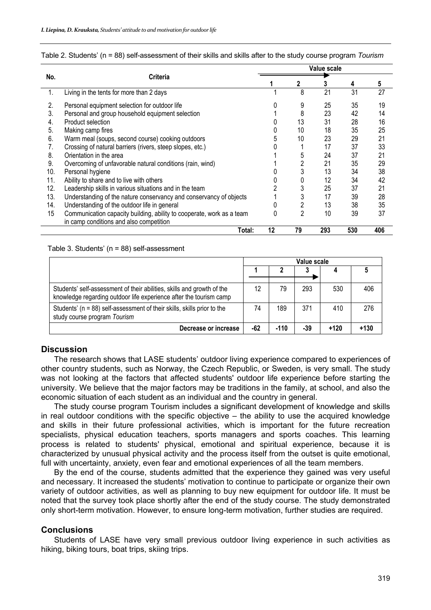|     | <b>Criteria</b>                                                       | Value scale |    |     |     |     |  |
|-----|-----------------------------------------------------------------------|-------------|----|-----|-----|-----|--|
| No. |                                                                       |             | 2  |     | 4   | 5   |  |
| 1.  | Living in the tents for more than 2 days                              |             | 8  | 21  | 31  | 27  |  |
| 2.  | Personal equipment selection for outdoor life                         |             | 9  | 25  | 35  | 19  |  |
| 3.  | Personal and group household equipment selection                      |             | 8  | 23  | 42  | 14  |  |
| 4.  | Product selection                                                     |             | 13 | 31  | 28  | 16  |  |
| 5.  | Making camp fires                                                     |             | 10 | 18  | 35  | 25  |  |
| 6.  | Warm meal (soups, second course) cooking outdoors                     |             | 10 | 23  | 29  | 21  |  |
| 7.  | Crossing of natural barriers (rivers, steep slopes, etc.)             |             |    | 17  | 37  | 33  |  |
| 8.  | Orientation in the area                                               |             | 5  | 24  | 37  | 21  |  |
| 9.  | Overcoming of unfavorable natural conditions (rain, wind)             |             |    | 21  | 35  | 29  |  |
| 10. | Personal hygiene                                                      |             |    | 13  | 34  | 38  |  |
| 11. | Ability to share and to live with others                              |             |    | 12  | 34  | 42  |  |
| 12. | Leadership skills in various situations and in the team               |             |    | 25  | 37  | 21  |  |
| 13. | Understanding of the nature conservancy and conservancy of objects    |             | 3  | 17  | 39  | 28  |  |
| 14. | Understanding of the outdoor life in general                          |             |    | 13  | 38  | 35  |  |
| 15  | Communication capacity building, ability to cooperate, work as a team |             | 2  | 10  | 39  | 37  |  |
|     | in camp conditions and also competition                               |             |    |     |     |     |  |
|     | Total:                                                                | 12          | 79 | 293 | 530 | 406 |  |

| Table 2. Students' (n = 88) self-assessment of their skills and skills after to the study course program Tourism |
|------------------------------------------------------------------------------------------------------------------|
|------------------------------------------------------------------------------------------------------------------|

#### Table 3. Students' (n = 88) self-assessment

|                                                                                                                                              | Value scale |        |     |        |        |  |
|----------------------------------------------------------------------------------------------------------------------------------------------|-------------|--------|-----|--------|--------|--|
|                                                                                                                                              |             |        |     |        |        |  |
| Students' self-assessment of their abilities, skills and growth of the<br>knowledge regarding outdoor life experience after the tourism camp | 12          | 79     | 293 | 530    | 406    |  |
| Students' (n = 88) self-assessment of their skills, skills prior to the<br>study course program Tourism                                      | 74          | 189    | 371 | 410    | 276    |  |
| Decrease or increase                                                                                                                         | -62         | $-110$ | -39 | $+120$ | $+130$ |  |

#### **Discussion**

The research shows that LASE students' outdoor living experience compared to experiences of other country students, such as Norway, the Czech Republic, or Sweden, is very small. The study was not looking at the factors that affected students' outdoor life experience before starting the university. We believe that the major factors may be traditions in the family, at school, and also the economic situation of each student as an individual and the country in general.

The study course program Tourism includes a significant development of knowledge and skills in real outdoor conditions with the specific objective – the ability to use the acquired knowledge and skills in their future professional activities, which is important for the future recreation specialists, physical education teachers, sports managers and sports coaches. This learning process is related to students' physical, emotional and spiritual experience, because it is characterized by unusual physical activity and the process itself from the outset is quite emotional, full with uncertainty, anxiety, even fear and emotional experiences of all the team members.

By the end of the course, students admitted that the experience they gained was very useful and necessary. It increased the students' motivation to continue to participate or organize their own variety of outdoor activities, as well as planning to buy new equipment for outdoor life. It must be noted that the survey took place shortly after the end of the study course. The study demonstrated only short-term motivation. However, to ensure long-term motivation, further studies are required.

#### **Conclusions**

Students of LASE have very small previous outdoor living experience in such activities as hiking, biking tours, boat trips, skiing trips.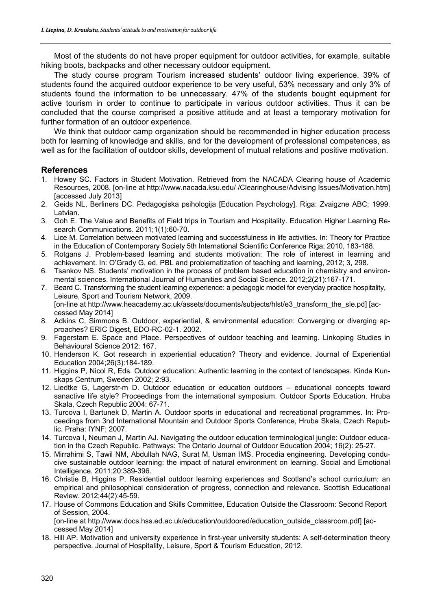Most of the students do not have proper equipment for outdoor activities, for example, suitable hiking boots, backpacks and other necessary outdoor equipment.

The study course program Tourism increased students' outdoor living experience. 39% of students found the acquired outdoor experience to be very useful, 53% necessary and only 3% of students found the information to be unnecessary. 47% of the students bought equipment for active tourism in order to continue to participate in various outdoor activities. Thus it can be concluded that the course comprised a positive attitude and at least a temporary motivation for further formation of an outdoor experience.

We think that outdoor camp organization should be recommended in higher education process both for learning of knowledge and skills, and for the development of professional competences, as well as for the facilitation of outdoor skills, development of mutual relations and positive motivation.

### **References**

- 1. Howey SC. Factors in Student Motivation. Retrieved from the NACADA Clearing house of Academic Resources, 2008. [on-line at http://www.nacada.ksu.edu/ /Clearinghouse/Advising Issues/Motivation.htm] [accessed July 2013]
- 2. Geids NL, Berliners DC. Pedagogiska psihologija [Education Psychology]. Riga: Zvaigzne ABC; 1999. Latvian.
- 3. Goh E. The Value and Benefits of Field trips in Tourism and Hospitality. Education Higher Learning Research Communications. 2011;1(1):60-70.
- 4. Lice M. Correlation between motivated learning and successfulness in life activities. In: Theory for Practice in the Education of Contemporary Society 5th International Scientific Conference Riga; 2010, 183-188.
- 5. Rotgans J. Problem-based learning and students motivation: The role of interest in learning and achievement. In: O'Grady G, ed. PBL and problematization of teaching and learning, 2012; 3, 298.
- 6. Tsankov NS. Students' motivation in the process of problem based education in chemistry and environmental sciences. International Journal of Humanities and Social Science. 2012;2(21):167-171.
- 7. Beard C. Transforming the student learning experience: a pedagogic model for everyday practice hospitality, Leisure, Sport and Tourism Network, 2009. [on-line at http://www.heacademy.ac.uk/assets/documents/subjects/hlst/e3\_transform\_the\_sle.pd] [accessed May 2014]
- 8. Adkins C, Simmons B. Outdoor, experiential, & environmental education: Converging or diverging approaches? ERIC Digest, EDO-RC-02-1. 2002.
- 9. Fagerstam E. Space and Place. Perspectives of outdoor teaching and learning. Linkoping Studies in Behavioural Science 2012; 167.
- 10. Henderson K. Got research in experiential education? Theory and evidence. Journal of Experiential Education 2004;26(3):184-189.
- 11. Higgins P, Nicol R, Eds. Outdoor education: Authentic learning in the context of landscapes. Kinda Kunskaps Centrum, Sweden 2002; 2:93.
- 12. Liedtke G, Lagerstr-m D. Outdoor education or education outdoors educational concepts toward sanactive life style? Proceedings from the international symposium. Outdoor Sports Education. Hruba Skala, Czech Republic 2004: 67-71.
- 13. Turcova I, Bartunek D, Martin A. Outdoor sports in educational and recreational programmes. In: Proceedings from 3nd International Mountain and Outdoor Sports Conference, Hruba Skala, Czech Republic. Praha: IYNF; 2007.
- 14. Turcova I, Neuman J, Martin AJ. Navigating the outdoor education terminological jungle: Outdoor education in the Czech Republic. Pathways: The Ontario Journal of Outdoor Education 2004; 16(2): 25-27.
- 15. Mirrahimi S, Tawil NM, Abdullah NAG, Surat M, Usman IMS. Procedia engineering. Developing conducive sustainable outdoor learning: the impact of natural environment on learning. Social and Emotional Intelligence. 2011;20:389-396.
- 16. Christie B, Higgins P. Residential outdoor learning experiences and Scotland's school curriculum: an empirical and philosophical consideration of progress, connection and relevance. Scottish Educational Review. 2012;44(2):45-59.
- 17. House of Commons Education and Skills Committee, Education Outside the Classroom: Second Report of Session, 2004.

[on-line at http://www.docs.hss.ed.ac.uk/education/outdoored/education\_outside\_classroom.pdf] [accessed May 2014]

18. Hill AP. Motivation and university experience in first-year university students: A self-determination theory perspective. Journal of Hospitality, Leisure, Sport & Tourism Education, 2012.